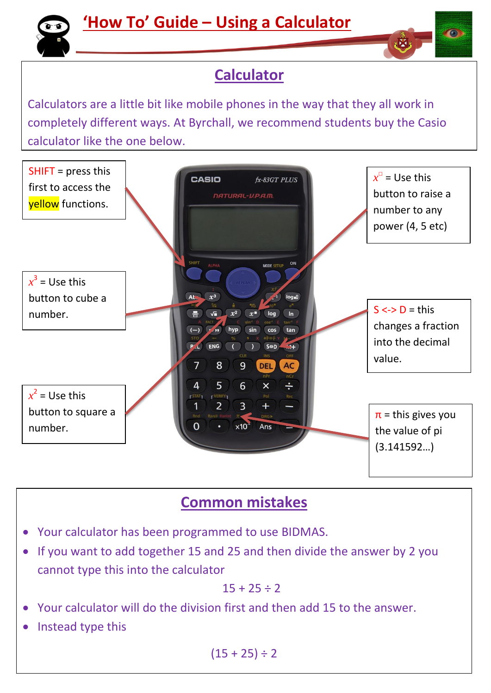



## **Calculator**

Calculators are a little bit like mobile phones in the way that they all work in completely different ways. At Byrchall, we recommend students buy the Casio calculator like the one below.



## **Common mistakes**

- Your calculator has been programmed to use BIDMAS.
- If you want to add together 15 and 25 and then divide the answer by 2 you cannot type this into the calculator

$$
15+25\div 2
$$

- Your calculator will do the division first and then add 15 to the answer.
- Instead type this

 $(15 + 25) \div 2$